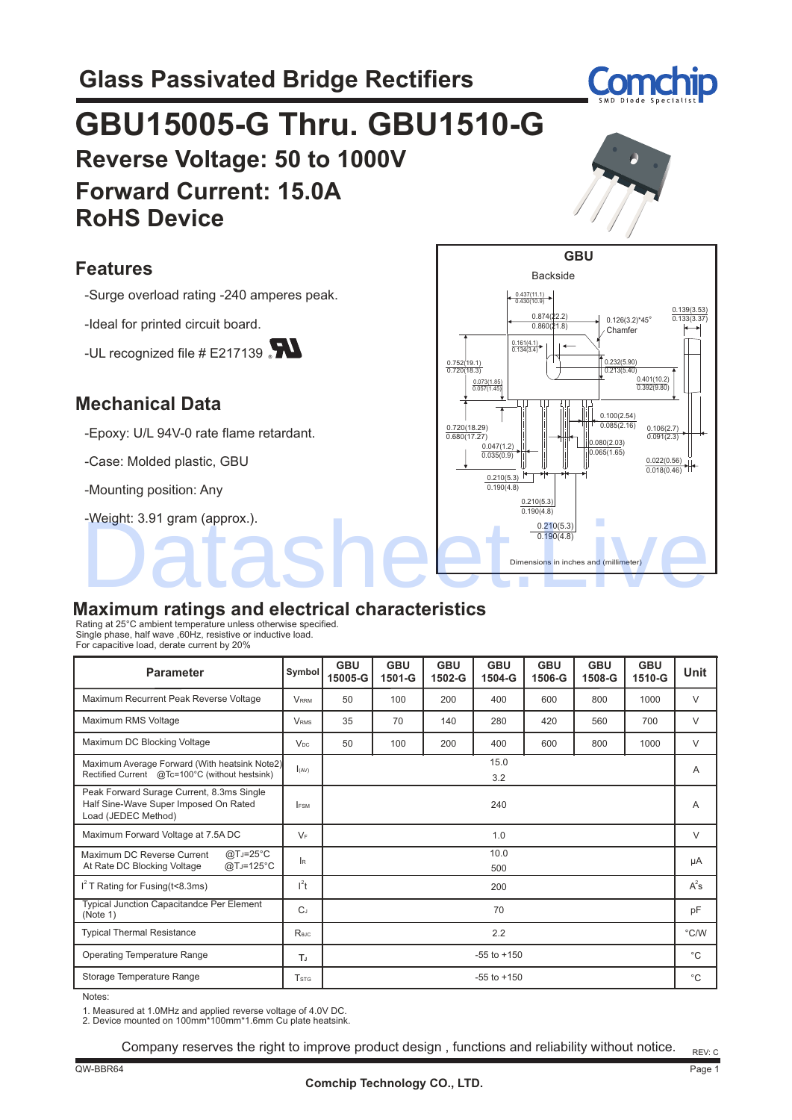

# **GBU15005-G Thru. GBU1510-G Reverse Voltage: 50 to 1000V Forward Current: 15.0A RoHS Device**

#### **Features**

-Surge overload rating -240 amperes peak.

-Ideal for printed circuit board.

-UL recognized file  $#E217139$ 

#### **Mechanical Data**

-Epoxy: U/L 94V-0 rate flame retardant.

-Case: Molded plastic, GBU

-Mounting position: Any

-Weight: 3.91 gram (approx.).



#### **Maximum ratings and electrical characteristics**

Rating at 25°C ambient temperature unless otherwise specified. Single phase, half wave ,60Hz, resistive or inductive load. For capacitive load, derate current by 20%

| <b>Parameter</b>                                                                                          | Symbol                | <b>GBU</b><br>15005-G | <b>GBU</b><br>1501-G | <b>GBU</b><br>1502-G | <b>GBU</b><br>1504-G | <b>GBU</b><br>1506-G | <b>GBU</b><br>1508-G | <b>GBU</b><br>1510-G | Unit   |
|-----------------------------------------------------------------------------------------------------------|-----------------------|-----------------------|----------------------|----------------------|----------------------|----------------------|----------------------|----------------------|--------|
| Maximum Recurrent Peak Reverse Voltage                                                                    | <b>VRRM</b>           | 50                    | 100                  | 200                  | 400                  | 600                  | 800                  | 1000                 | $\vee$ |
| Maximum RMS Voltage                                                                                       | <b>VRMS</b>           | 35                    | 70                   | 140                  | 280                  | 420                  | 560                  | 700                  | $\vee$ |
| Maximum DC Blocking Voltage                                                                               | <b>V<sub>DC</sub></b> | 50                    | 100                  | 200                  | 400                  | 600                  | 800                  | 1000                 | $\vee$ |
| Maximum Average Forward (With heatsink Note2)<br>Rectified Current @Tc=100°C (without hestsink)           | I(AV)                 | 15.0<br>3.2           |                      |                      |                      | A                    |                      |                      |        |
| Peak Forward Surage Current, 8.3ms Single<br>Half Sine-Wave Super Imposed On Rated<br>Load (JEDEC Method) | <b>IFSM</b>           | 240                   |                      |                      |                      |                      | A                    |                      |        |
| Maximum Forward Voltage at 7.5A DC                                                                        | $V_F$                 | 1.0                   |                      |                      |                      | V                    |                      |                      |        |
| $@TJ=25°C$<br>Maximum DC Reverse Current<br>At Rate DC Blocking Voltage<br>$@TJ=125°C$                    | lr.                   | 10.0<br>500           |                      |                      |                      |                      | μA                   |                      |        |
| $I2$ T Rating for Fusing (t<8.3ms)                                                                        | $l^2t$                | 200                   |                      |                      |                      | $A^2$ s              |                      |                      |        |
| Typical Junction Capacitandce Per Element<br>(Note 1)                                                     | $C_J$                 | 70                    |                      |                      |                      |                      | pF                   |                      |        |
| <b>Typical Thermal Resistance</b>                                                                         | Rejc                  | 2.2                   |                      |                      |                      |                      | $\degree$ C/W        |                      |        |
| <b>Operating Temperature Range</b>                                                                        | T,                    | $-55$ to $+150$       |                      |                      |                      | $^{\circ}C$          |                      |                      |        |
| Storage Temperature Range                                                                                 | <b>T</b> stg          | $-55$ to $+150$       |                      |                      |                      |                      | $^{\circ}C$          |                      |        |

Notes:

1. Measured at 1.0MHz and applied reverse voltage of 4.0V DC. 2. Device mounted on 100mm\*100mm\*1.6mm Cu plate heatsink.

Company reserves the right to improve product design , functions and reliability without notice.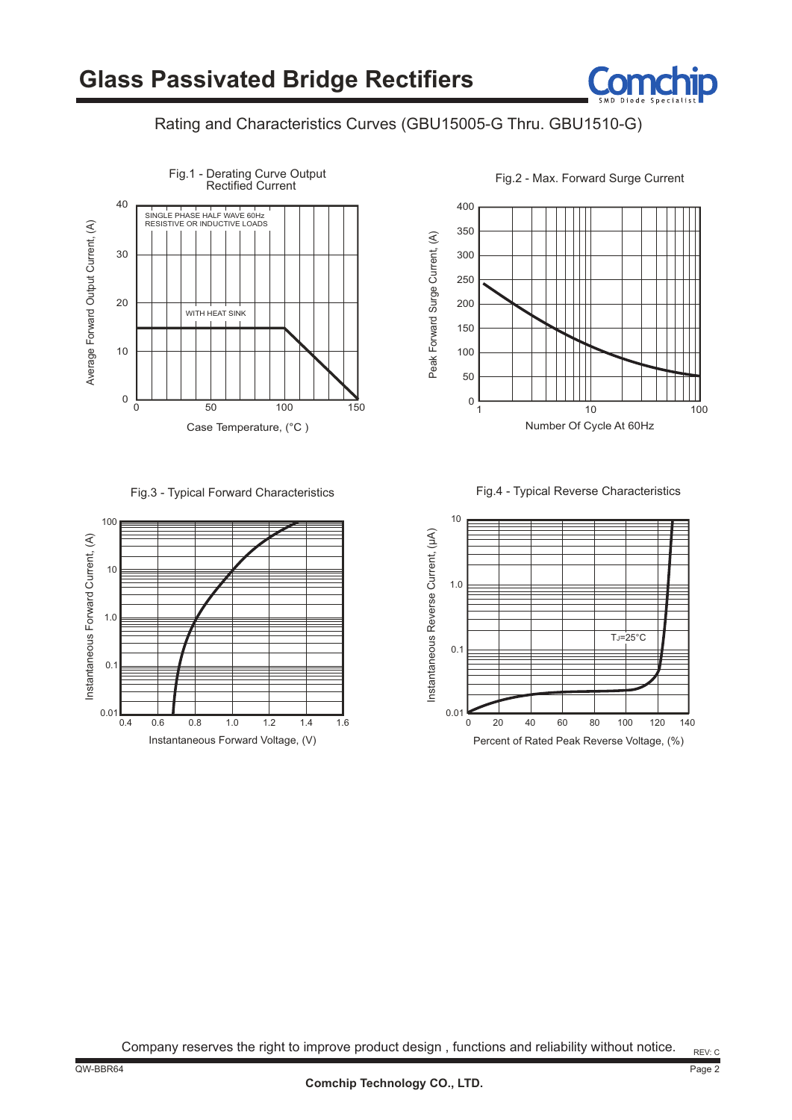#### Rating and Characteristics Curves (GBU15005-G Thru. GBU1510-G)



Fig.3 - Typical Forward Characteristics Fig.4 - Typical Reverse Characteristics



350 300 400 250

Peak Forward Surge Current, (A) Peak Forward Surge Current, (A) 200 150 100 50 0 1 10 100 Number Of Cycle At 60Hz



Company reserves the right to improve product design , functions and reliability without notice.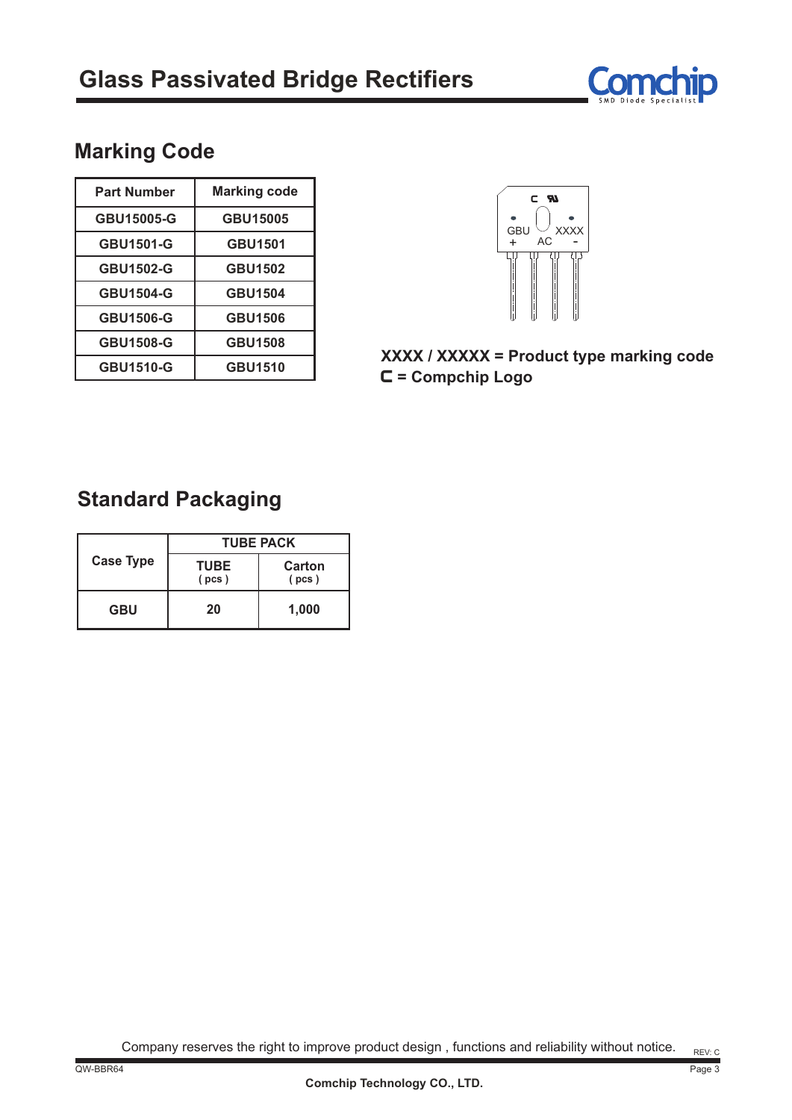

## **Marking Code**

| <b>Part Number</b> | <b>Marking code</b> |  |  |
|--------------------|---------------------|--|--|
| GBU15005-G         | GBU15005            |  |  |
| <b>GBU1501-G</b>   | <b>GBU1501</b>      |  |  |
| <b>GBU1502-G</b>   | <b>GBU1502</b>      |  |  |
| <b>GBU1504-G</b>   | <b>GBU1504</b>      |  |  |
| <b>GBU1506-G</b>   | <b>GBU1506</b>      |  |  |
| <b>GBU1508-G</b>   | <b>GBU1508</b>      |  |  |
| <b>GBU1510-G</b>   | <b>GBU1510</b>      |  |  |



C **= Compchip Logo XXXX / XXXXX = Product type marking code**

### **Standard Packaging**

|                  | <b>TUBE PACK</b> |       |  |  |  |
|------------------|------------------|-------|--|--|--|
| <b>Case Type</b> | TUBE<br>(pcs)    |       |  |  |  |
| <b>GBU</b>       | 20               | 1,000 |  |  |  |

Company reserves the right to improve product design , functions and reliability without notice.